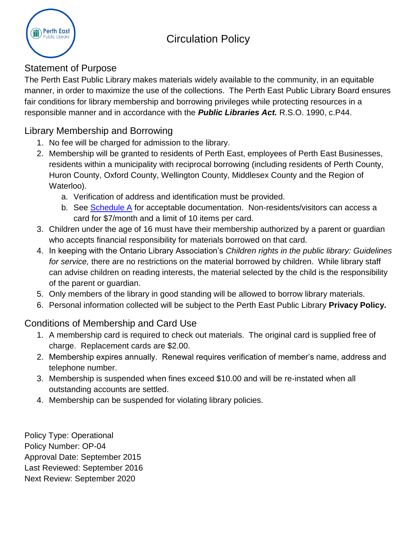# Circulation Policy



### Statement of Purpose

The Perth East Public Library makes materials widely available to the community, in an equitable manner, in order to maximize the use of the collections. The Perth East Public Library Board ensures fair conditions for library membership and borrowing privileges while protecting resources in a responsible manner and in accordance with the *Public Libraries Act.* R.S.O. 1990, c.P44.

## Library Membership and Borrowing

- 1. No fee will be charged for admission to the library.
- 2. Membership will be granted to residents of Perth East, employees of Perth East Businesses, residents within a municipality with reciprocal borrowing (including residents of Perth County, Huron County, Oxford County, Wellington County, Middlesex County and the Region of Waterloo).
	- a. Verification of address and identification must be provided.
	- b. See [Schedule A](#page-3-0) for acceptable documentation. Non-residents/visitors can access a card for \$7/month and a limit of 10 items per card.
- 3. Children under the age of 16 must have their membership authorized by a parent or guardian who accepts financial responsibility for materials borrowed on that card.
- 4. In keeping with the Ontario Library Association's *Children rights in the public library: Guidelines for service,* there are no restrictions on the material borrowed by children. While library staff can advise children on reading interests, the material selected by the child is the responsibility of the parent or guardian.
- 5. Only members of the library in good standing will be allowed to borrow library materials.
- 6. Personal information collected will be subject to the Perth East Public Library **Privacy Policy.**

# Conditions of Membership and Card Use

- 1. A membership card is required to check out materials. The original card is supplied free of charge. Replacement cards are \$2.00.
- 2. Membership expires annually. Renewal requires verification of member's name, address and telephone number.
- 3. Membership is suspended when fines exceed \$10.00 and will be re-instated when all outstanding accounts are settled.
- 4. Membership can be suspended for violating library policies.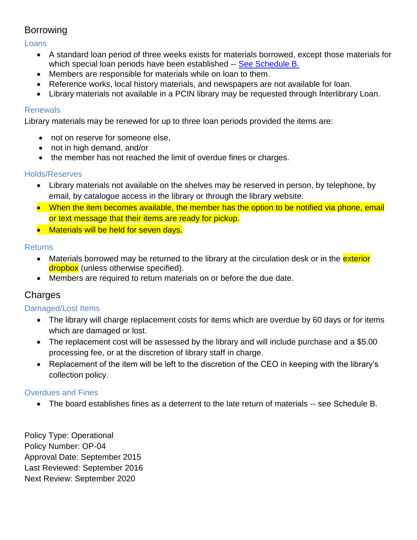### Borrowing

Loans

- A standard loan period of three weeks exists for materials borrowed, except those materials for which special loan periods have been established -- See [Schedule B.](#page-3-1)
- Members are responsible for materials while on loan to them.
- Reference works, local history materials, and newspapers are not available for loan.
- Library materials not available in a PCIN library may be requested through Interlibrary Loan.

#### **Renewals**

Library materials may be renewed for up to three loan periods provided the items are:

- not on reserve for someone else,
- not in high demand, and/or
- the member has not reached the limit of overdue fines or charges.

#### Holds/Reserves

- Library materials not available on the shelves may be reserved in person, by telephone, by email, by catalogue access in the library or through the library website.
- When the item becomes available, the member has the option to be notified via phone, email or text message that their items are ready for pickup.
- Materials will be held for seven days.

#### **Returns**

- Materials borrowed may be returned to the library at the circulation desk or in the *exterior* dropbox (unless otherwise specified).
- Members are required to return materials on or before the due date.

### Charges

### Damaged/Lost Items

- The library will charge replacement costs for items which are overdue by 60 days or for items which are damaged or lost.
- The replacement cost will be assessed by the library and will include purchase and a \$5.00 processing fee, or at the discretion of library staff in charge.
- Replacement of the item will be left to the discretion of the CEO in keeping with the library's collection policy.

#### Overdues and Fines

The board establishes fines as a deterrent to the late return of materials -- see Schedule B.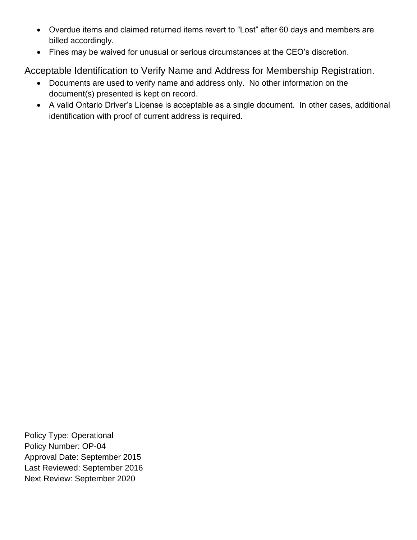- Overdue items and claimed returned items revert to "Lost" after 60 days and members are billed accordingly.
- Fines may be waived for unusual or serious circumstances at the CEO's discretion.

Acceptable Identification to Verify Name and Address for Membership Registration.

- Documents are used to verify name and address only. No other information on the document(s) presented is kept on record.
- A valid Ontario Driver's License is acceptable as a single document. In other cases, additional identification with proof of current address is required.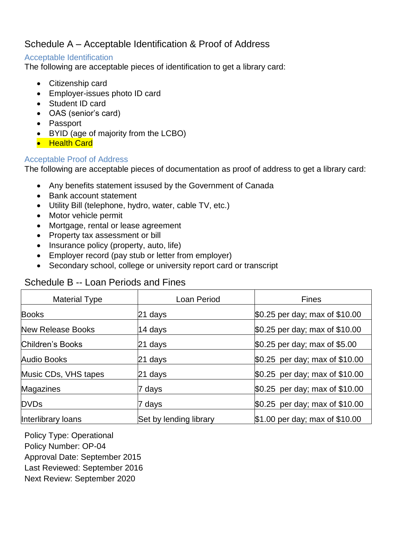### <span id="page-3-0"></span>Schedule A – Acceptable Identification & Proof of Address

#### Acceptable Identification

The following are acceptable pieces of identification to get a library card:

- Citizenship card
- Employer-issues photo ID card
- Student ID card
- OAS (senior's card)
- Passport
- BYID (age of majority from the LCBO)
- Health Card

#### Acceptable Proof of Address

The following are acceptable pieces of documentation as proof of address to get a library card:

- Any benefits statement issused by the Government of Canada
- Bank account statement
- Utility Bill (telephone, hydro, water, cable TV, etc.)
- Motor vehicle permit
- Mortgage, rental or lease agreement
- Property tax assessment or bill
- Insurance policy (property, auto, life)
- Employer record (pay stub or letter from employer)
- Secondary school, college or university report card or transcript

### <span id="page-3-1"></span>Schedule B -- Loan Periods and Fines

| <b>Material Type</b>     | Loan Period            | <b>Fines</b>                   |
|--------------------------|------------------------|--------------------------------|
| <b>Books</b>             | 21 days                | \$0.25 per day; max of \$10.00 |
| <b>New Release Books</b> | 14 days                | \$0.25 per day; max of \$10.00 |
| <b>Children's Books</b>  | 21 days                | \$0.25 per day; max of \$5.00  |
| <b>Audio Books</b>       | 21 days                | \$0.25 per day; max of \$10.00 |
| Music CDs, VHS tapes     | 21 days                | \$0.25 per day; max of \$10.00 |
| Magazines                | 7 days                 | \$0.25 per day; max of \$10.00 |
| <b>DVDs</b>              | 7 days                 | \$0.25 per day; max of \$10.00 |
| Interlibrary loans       | Set by lending library | \$1.00 per day; max of \$10.00 |